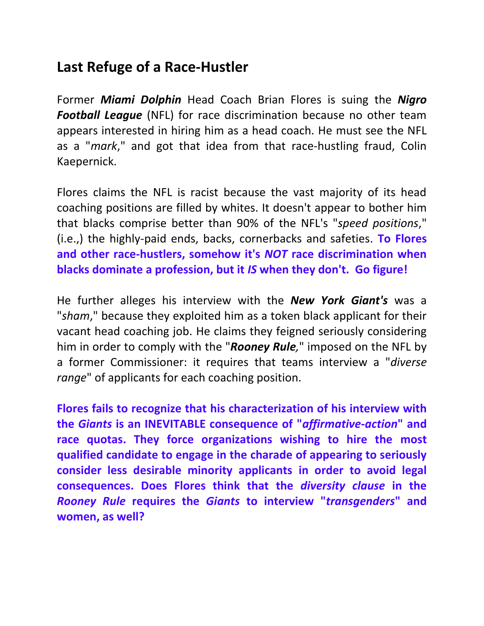## **Last Refuge of a Race-Hustler**

Former *Miami Dolphin* Head Coach Brian Flores is suing the *Nigro Football League* (NFL) for race discrimination because no other team appears interested in hiring him as a head coach. He must see the NFL as a "*mark*," and got that idea from that race-hustling fraud, Colin Kaepernick.

Flores claims the NFL is racist because the vast majority of its head coaching positions are filled by whites. It doesn't appear to bother him that blacks comprise better than 90% of the NFL's "*speed positions*," (i.e.,) the highly-paid ends, backs, cornerbacks and safeties. **To Flores and other race-hustlers, somehow it's** *NOT* **race discrimination when blacks dominate a profession, but it** *IS* **when they don't. Go figure!**

He further alleges his interview with the *New York Giant's* was a "*sham*," because they exploited him as a token black applicant for their vacant head coaching job. He claims they feigned seriously considering him in order to comply with the "*Rooney Rule,*" imposed on the NFL by a former Commissioner: it requires that teams interview a "*diverse range*" of applicants for each coaching position.

**Flores fails to recognize that his characterization of his interview with the** *Giants* **is an INEVITABLE consequence of "***affirmative-action***" and race quotas. They force organizations wishing to hire the most qualified candidate to engage in the charade of appearing to seriously consider less desirable minority applicants in order to avoid legal consequences. Does Flores think that the** *diversity clause* **in the** *Rooney Rule* **requires the** *Giants* **to interview "***transgenders***" and women, as well?**